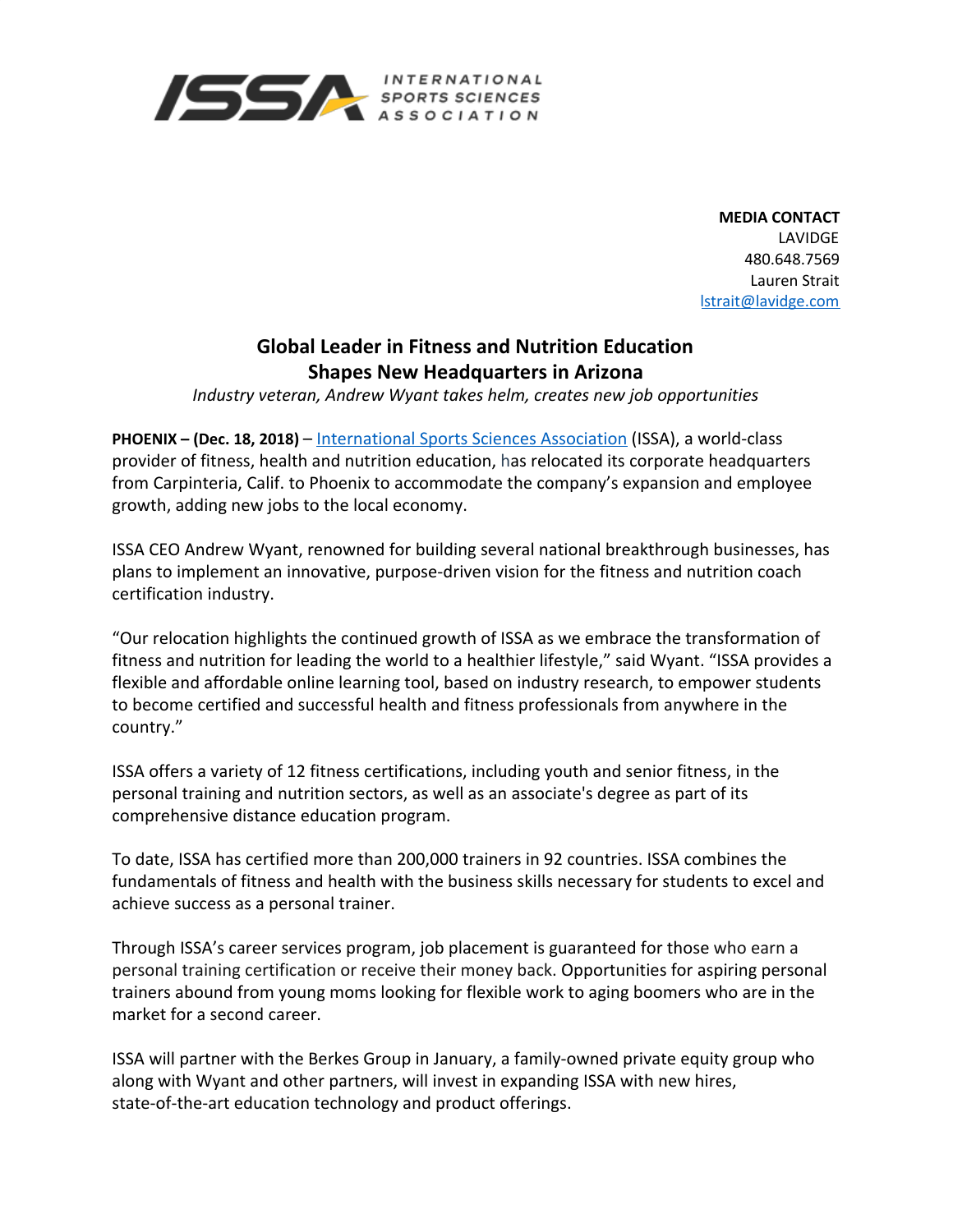

**MEDIA CONTACT** LAVIDGE 480.648.7569 Lauren Strait [lstrait@lavidge.com](mailto:lstrait@lavidge.com)

## **Global Leader in Fitness and Nutrition Education Shapes New Headquarters in Arizona**

*Industry veteran, Andrew Wyant takes helm, creates new job opportunities*

**PHOENIX – (Dec. 18, 2018)** – [International Sports Sciences Association](https://www.issaonline.edu/) (ISSA), a world-class provider of fitness, health and nutrition education, has relocated its corporate headquarters from Carpinteria, Calif. to Phoenix to accommodate the company's expansion and employee growth, adding new jobs to the local economy.

ISSA CEO Andrew Wyant, renowned for building several national breakthrough businesses, has plans to implement an innovative, purpose-driven vision for the fitness and nutrition coach certification industry.

"Our relocation highlights the continued growth of ISSA as we embrace the transformation of fitness and nutrition for leading the world to a healthier lifestyle," said Wyant. "ISSA provides a flexible and affordable online learning tool, based on industry research, to empower students to become certified and successful health and fitness professionals from anywhere in the country."

ISSA offers a variety of 12 fitness certifications, including youth and senior fitness, in the personal training and nutrition sectors, as well as an associate's degree as part of its comprehensive distance education program.

To date, ISSA has certified more than 200,000 trainers in 92 countries. ISSA combines the fundamentals of fitness and health with the business skills necessary for students to excel and achieve success as a personal trainer.

Through ISSA's career services program, job placement is guaranteed for those who earn a personal training certification or receive their money back. Opportunities for aspiring personal trainers abound from young moms looking for flexible work to aging boomers who are in the market for a second career.

ISSA will partner with the Berkes Group in January, a family-owned private equity group who along with Wyant and other partners, will invest in expanding ISSA with new hires, state-of-the-art education technology and product offerings.